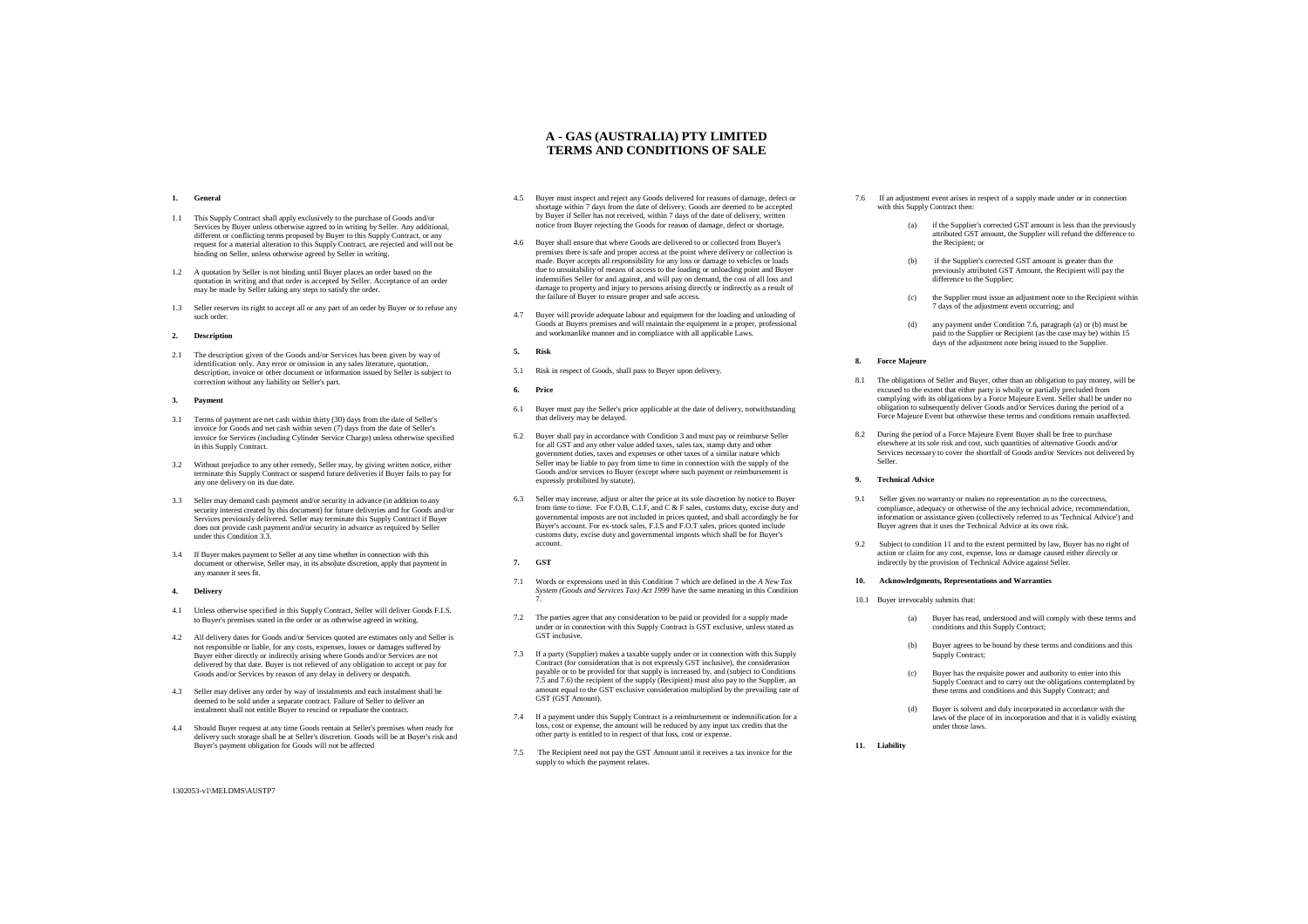### **1. General**

- 1.1 This Supply Contract shall apply exclusively to the purchase of Goods and/or Services by Buyer unless otherwise agreed to in writing by Seller. Any additional, different or conflicting terms proposed by Buyer to this Supply Contract, or any request for a material alteration to this Supply Contract, are rejected and will not be binding on Seller, unless otherwise agreed by Seller in writing.
- 1.2 A quotation by Seller is not binding until Buyer places an order based on the quotation in writing and that order is accepted by Seller. Acceptance of an order may be made by Seller taking any steps to satisfy the order
- 1.3 Seller reserves its right to accept all or any part of an order by Buyer or to refuse any such order

#### **2. Description**

2.1 The description given of the Goods and/or Services has been given by way of identification only. Any error or omission in any sales literature, quotation, description, invoice or other document or information issued by Seller is subject to ion without any liability on Seller's part.

#### **3. Payment**

- 3.1 Terms of payment are net cash within thirty (30) days from the date of Seller's invoice for Goods and net cash within seven (7) days from the date of Seller's invoice for Services (including Cylinder Service Charge) unless otherwise specified in this Supply Contract.
- 3.2 Without prejudice to any other remedy, Seller may, by giving written notice, either terminate this Supply Contract or suspend future deliveries if Buyer fails to pay for any one delivery on its due date.
- 3.3 Seller may demand cash payment and/or security in advance (in addition to any security interest created by this document) for future deliveries and for Goods and/or Services previously delivered. Seller may terminate this Supply Contract if Buyer does not provide cash payment and/or security in advance as required by Seller under this Condition  $3$ .
- 3.4 If Buyer makes payment to Seller at any time whether in connection with this document or otherwise, Seller may, in its absolute discretion, apply that payment in any manner it sees fit.

# **4. Delivery**

- 4.1 Unless otherwise specified in this Supply Contract, Seller will deliver Goods F.I.S. to Buyer's premises stated in the order or as otherwise agreed in writing.
- 4.2 All delivery dates for Goods and/or Services quoted are estimates only and Seller is not responsible or liable, for any costs, expenses, losses or damages suffered by Buyer either directly or indirectly arising where Goods and/or Services are not delivered by that date. Buyer is not relieved of any obligation to accept or pay for Goods and/or Services by reason of any delay in delivery or despatch.
- 4.3 Seller may deliver any order by way of instalments and each instalment shall be deemed to be sold under a separate contract. Failure of Seller to deliver an instalment shall not entitle Buyer to rescind or repudiate the contract.
- 4.4 Should Buyer request at any time Goods remain at Seller's premises when ready for delivery such storage shall be at Seller's discretion. Goods will be at Buyer's risk and Buyer's payment obligation for Goods will not be affected
- 1302053-v1\MELDMS\AUSTP7

4.5 Buyer must inspect and reject any Goods delivered for reasons of damage, defect or shortage within 7 days from the date of delivery. Goods are deemed to be accepted by Buyer if Seller has not received, within 7 days of the date of delivery, written notice from Buyer rejecting the Goods for reason of damage, defect or shortage.

**A - GAS (AUSTRALIA) PTY LIMITED TERMS AND CONDITIONS OF SALE**

- 4.6 Buyer shall ensure that where Goods are delivered to or collected from Buyer's premises there is safe and proper access at the point where delivery or collection is made. Buyer accepts all responsibility for any loss or damage to vehicles or loads due to unsuitability of means of access to the loading or unloading point and Buyer indemnifies Seller for and against, and will pay on demand, the cost of all loss and damage to property and injury to persons arising directly or indirectly as a result of the failure of Buyer to ensure proper and safe access.
- 4.7 Buyer will provide adequate labour and equipment for the loading and unloading of Goods at Buyers premises and will maintain the equipment in a proper, professional and workmanlike manner and in compliance with all applicable La
- **5. Risk**
- 5.1 Risk in respect of Goods, shall pass to Buyer upon delivery.
- **6. Price**
- 6.1 Buyer must pay the Seller's price applicable at the date of delivery, notwithstanding that delivery may be delayed.
- 6.2 Buyer shall pay in accordance with Condition 3 and must pay or reimburse Seller for all GST and any other value added taxes, sales tax, stamp duty and other government duties, taxes and expenses or other taxes of a similar nature which Seller may be liable to pay from time to time in connection with the supply of the Goods and/or services to Buyer (except where such payment or reimbursement is expressly prohibited by statute).
- 6.3 Seller may increase, adjust or alter the price at its sole discretion by notice to Buyer from time to time. For F.O.B, C.I.F, and C & F sales, customs duty, excise duty and governmental imposts are not included in prices quoted, and shall accordingly be for Buyer's account. For ex-stock sales, F.I.S and F.O.T sales, prices quoted include customs duty, excise duty and governmental imposts which shall be for Buyer's account.
- **7. GST**
- 7.1 Words or expressions used in this Condition 7 which are defined in the *A New Tax System (Goods and Services Tax) Act 1999* have the same meaning in this Condition 7.
- 7.2 The parties agree that any consideration to be paid or provided for a supply made under or in connection with this Supply Contract is GST exclusive, unless stated as GST inclusive.
- 7.3 If a party (Supplier) makes a taxable supply under or in connection with this Supply Contract (for consideration that is not expressly GST inclusive), the consideration payable or to be provided for that supply is increased by, and (subject to Conditions 7.5 and 7.6) the recipient of the supply (Recipient) must also pay to the Supplier, an amount equal to the GST exclusive consideration multiplied by the prevailing rate of GST (GST Amount).
- 7.4 If a payment under this Supply Contract is a reimbursement or indemnification for a loss, cost or expense, the amount will be reduced by any input tax credits that the other party is entitled to in respect of that loss, cost or expense.
- 7.5 The Recipient need not pay the GST Amount until it receives a tax invoice for the supply to which the payment relates.
- 7.6 If an adjustment event arises in respect of a supply made under or in connection with this Supply Contract then
	- (a) if the Supplier's corrected GST amount is less than the previously attributed GST amount, the Supplier will refund the difference to the Recipient: or
	- (b) if the Supplier's corrected GST amount is greater than the previously attributed GST Amount, the Recipient will pay the difference to the Supplier;
	- (c) the Supplier must issue an adjustment note to the Recipient within 7 days of the adjustment event occurring; and
	- (d) any payment under Condition 7.6, paragraph (a) or (b) must be paid to the Supplier or Recipient (as the case may be) within 15 days of the adjustment note being issued to the Supplier.

### **8. Force Majeure**

- 8.1 The obligations of Seller and Buyer, other than an obligation to pay money, will be excused to the extent that either party is wholly or partially precluded from complying with its obligations by a Force Majeure Event. Seller shall be under no obligation to subsequently deliver Goods and/or Services during the period of a Force Majeure Event but otherwise these terms and conditions remain unaffected.
- 8.2 During the period of a Force Majeure Event Buyer shall be free to purchase elsewhere at its sole risk and cost, such quantities of alternative Goods and/or Services necessary to cover the shortfall of Goods and/or Services not delivered by Seller.

### **9. Technical Advice**

- 9.1 Seller gives no warranty or makes no representation as to the correctness, compliance, adequacy or otherwise of the any technical advice, recommendation, information or assistance given (collectively referred to as 'Technical Advice') and Buyer agrees that it uses the Technical Advice at its own risk.
- 9.2 Subject to condition 11 and to the extent permitted by law, Buyer has no right of action or claim for any cost, expense, loss or damage caused either directly or indirectly by the provision of Technical Advice against Seller.

### **10. Acknowledgments, Representations and Warranties**

- 10.1 Buyer irrevocably submits that:
	- (a) Buyer has read, understood and will comply with these terms and conditions and this Supply Contract;
	- (b) Buyer agrees to be bound by these terms and conditions and this Supply Contract:
	- (c) Buyer has the requisite power and authority to enter into this Supply Contract and to carry out the obligations contemplated by these terms and conditions and this Supply Contract; and
	- (d) Buyer is solvent and duly incorporated in accordance with the laws of the place of its incorporation and that it is validly existing under those laws.

**11. Liability**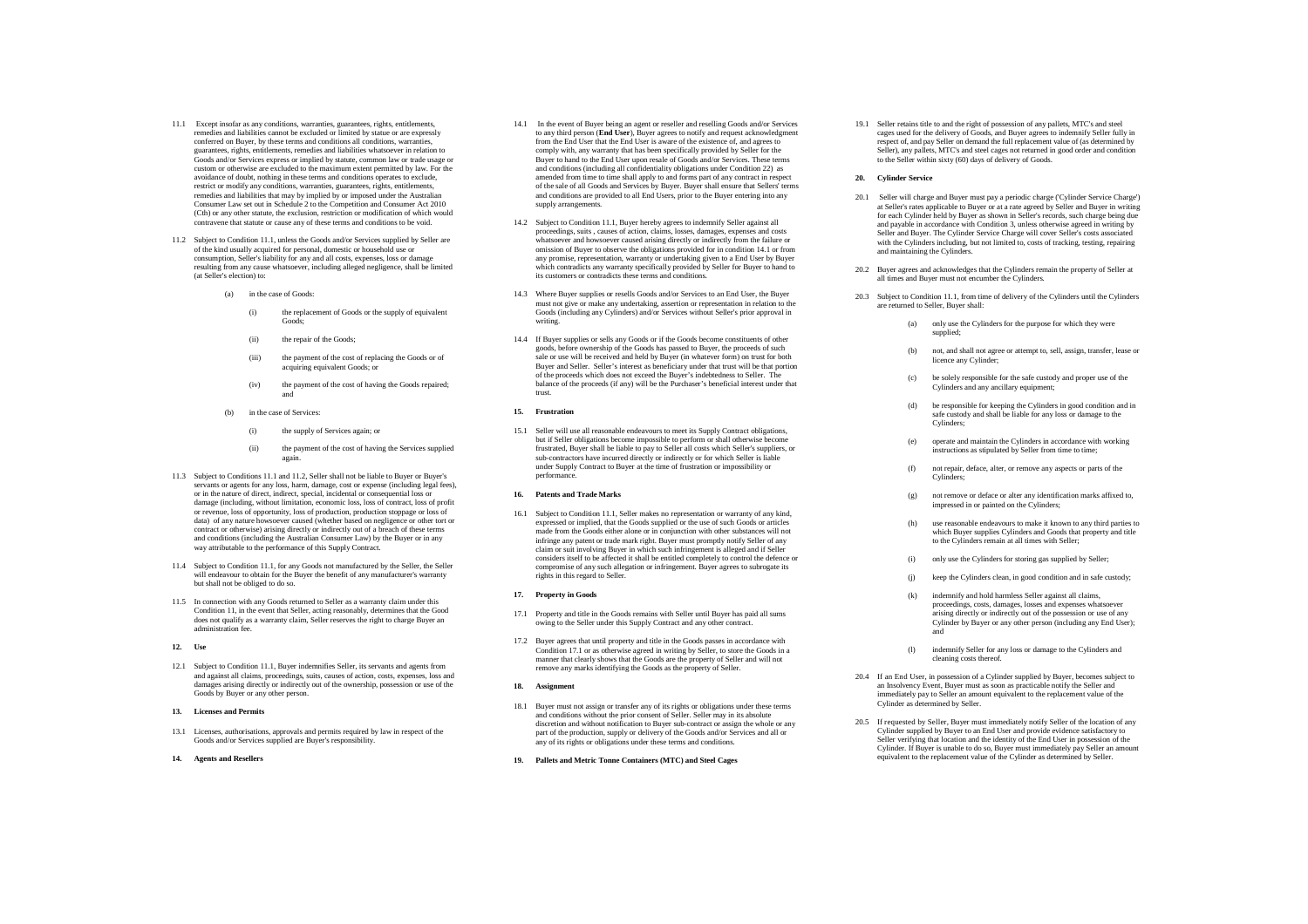- 11.1 Except insofar as any conditions, warranties, guarantees, rights, entitlements, remedies and liabilities cannot be excluded or limited by statue or are expressly conferred on Buyer, by these terms and conditions all conditions, warranties, guarantees, rights, entitlements, remedies and liabilities whatsoever in relation to Goods and/or Services express or implied by statute, common law or trade usage or custom or otherwise are excluded to the maximum extent permitted by law. For the avoidance of doubt, nothing in these terms and conditions operates to exclude, restrict or modify any conditions, warranties, guarantees, rights, entitlements, reddies and liabilities that may by implied by or imposed under the Australian Consumer Law set out in Schedule 2 to the Competition and Consumer Act 2010 (Cth) or any other statute, the exclusion, restriction or modification of which would contravene that statute or cause any of these terms and conditions to be void.
- 11.2 Subject to Condition 11.1, unless the Goods and/or Services supplied by Seller are of the kind usually acquired for personal, domestic or household use or consumption, Seller's liability for any and all costs, expenses, loss or damage resulting from any cause whatsoever, including alleged negligence, shall be limited (at Seller's election) to:
	- (a) in the case of Goods:
		- (i) the replacement of Goods or the supply of equivalent Goods;
		- (ii) the repair of the Goods;
		- (iii) the payment of the cost of replacing the Goods or of acquiring equivalent Goods; or
		- (iv) the payment of the cost of having the Goods repaired; and
	- (b) in the case of Services:
		- (i) the supply of Services again; or
		- (ii) the payment of the cost of having the Services supplied again.
- 11.3 Subject to Conditions 11.1 and 11.2, Seller shall not be liable to Buyer or Buyer's servants or agents for any loss, harm, damage, cost or expense (including legal fees). or in the nature of direct, indirect, special, incidental or consequential loss or damage (including, without limitation, economic loss, loss of contract, loss of profit or revenue, loss of opportunity, loss of production, production stoppage or loss of data) of any nature howsoever caused (whether based on negligence or other tort or contract or otherwise) arising directly or indirectly out of a breach of these terms and conditions (including the Australian Consumer Law) by the Buyer or in any way attributable to the performance of this Supply Contract.
- 11.4 Subject to Condition 11.1, for any Goods not manufactured by the Seller, the Seller will endeavour to obtain for the Buyer the benefit of any manufacturer's warranty but shall not be obliged to do so.
- 11.5 In connection with any Goods returned to Seller as a warranty claim under this Condition 11, in the event that Seller, acting reasonably, determines that the Good does not qualify as a warranty claim. Seller reserves the right to charge Buyer an administration fee.

# **12. Use**

12.1 Subject to Condition 11.1, Buyer indemnifies Seller, its servants and agents from and against all claims, proceedings, suits, causes of action, costs, expenses, loss and damages arising directly or indirectly out of the ownership, possession or use of the Goods by Buyer or any other person.

#### **13. Licenses and Permit**

13.1 Licenses, authorisations, approvals and permits required by law in respect of the Goods and/or Services supplied are Buyer's responsibility.

#### 14. **Agents and Resellers**

- 14.1 In the event of Buyer being an agent or reseller and reselling Goods and/or Services to any third person (**End User**), Buyer agrees to notify and request acknowledgment to any third person (**End User**), Buyer agrees to notify and request acknowledgment from the End User that the End User is aware of the existence of, and agrees to comply with, any warranty that has been specifically provided by Seller for the Buyer to hand to the End User upon resale of Goods and/or Services. These terms and conditions (including all confidentiality obligations under Condition 22) as amended from time to time shall apply to and forms part of any contract in respect of the sale of all Goods and Services by Buyer. Buyer shall ensure that Sellers' terms and conditions are provided to all End Users, prior to the Buyer entering into any supply arrangements.
- 14.2 Subject to Condition 11.1, Buyer hereby agrees to indemnify Seller against all proceedings, suits , causes of action, claims, losses, damages, expenses and costs whatsoever and howsoever caused arising directly or indirectly from the failure or omission of Buyer to observe the obligations provided for in condition 14.1 or from any promise, representation, warranty or undertaking given to a End User by Buyer which contradicts any warranty specifically provided by Seller for Buyer to hand to its customers or contradicts these terms and conditions.
- 14.3 Where Buyer supplies or resells Goods and/or Services to an End User, the Buyer must not give or make any undertaking, assertion or representation in relation to the Goods (including any Cylinders) and/or Services without Seller's prior approval in writing.
- 14.4 If Buyer supplies or sells any Goods or if the Goods become constituents of other goods, before ownership of the Goods has passed to Buyer, the proceeds of such sale or use will be received and held by Buyer (in whatever form) on trust for both Buyer and Seller. Seller's interest as beneficiary under that trust will be that portion of the proceeds which does not exceed the Buyer's indebtedness to Seller. The balance of the proceeds (if any) will be the Purchaser's beneficial interest under that trust.

#### **15. Frustration**

15.1 Seller will use all reasonable endeavours to meet its Supply Contract obligations, but if Seller obligations become impossible to perform or shall otherwise become frustrated, Buyer shall be liable to pay to Seller all costs which Seller's suppliers, or sub-contractors have incurred directly or indirectly or for which Seller is liable under Supply Contract to Buyer at the time of frustration or impossibility or performance.

### **16. Patents and Trade Marks**

16.1 Subject to Condition 11.1, Seller makes no representation or warranty of any kind, expressed or implied, that the Goods supplied or the use of such Goods or articles made from the Goods either alone or in conjunction with other substances will not infringe any patent or trade mark right. Buyer must promptly notify Seller of any claim or suit involving Buyer in which such infringement is alleged and if Seller considers itself to be affected it shall be entitled completely to control the defence or compromise of any such allegation or infringement. Buyer agrees to subrogate its rights in this regard to Seller.

### **17. Property in Goods**

- 17.1 Property and title in the Goods remains with Seller until Buyer has paid all sums owing to the Seller under this Supply Contract and any other contract.
- 17.2 Buyer agrees that until property and title in the Goods passes in accordance with Condition 17.1 or as otherwise agreed in writing by Seller, to store the Goods in a manner that clearly shows that the Goods are the property of Seller and will not remove any marks identifying the Goods as the property of Seller.

#### **18. Assignment**

- 18.1 Buyer must not assign or transfer any of its rights or obligations under these terms and conditions without the prior consent of Seller. Seller may in its absolute discretion and without notification to Buyer sub-contract or assign the whole or any part of the production, supply or delivery of the Goods and/or Services and all or any of its rights or obligations under these terms and conditions.
- **19. Pallets and Metric Tonne Containers (MTC) and Steel Cages**

19.1 Seller retains title to and the right of possession of any pallets, MTC's and steel cages used for the delivery of Goods, and Buyer agrees to indemnify Seller fully in respect of, and pay Seller on demand the full replacement value of (as determined by Seller), any pallets, MTC's and steel cages not returned in good order and condition to the Seller within sixty (60) days of delivery of Goods.

#### **20. Cylinder Service**

- 20.1 Seller will charge and Buyer must pay a periodic charge ('Cylinder Service Charge') at Seller's rates applicable to Buyer or at a rate agreed by Seller and Buyer in writing for each Cylinder held by Buyer as shown in Seller's records, such charge being due and payable in accordance with Condition 3, unless otherwise agreed in writing by Seller and Buyer. The Cylinder Service Charge will cover Seller's costs associated with the Cylinders including, but not limited to, costs of tracking, testing, repairing and maintaining the Cylinders
- 20.2 Buyer agrees and acknowledges that the Cylinders remain the property of Seller at all times and Buyer must not encumber the Cylinders.
- 20.3 Subject to Condition 11.1, from time of delivery of the Cylinders until the Cylinders are returned to Seller, Buyer shall:
	- (a) only use the Cylinders for the purpose for which they were supplied;
	- not, and shall not agree or attempt to, sell, assign, transfer, lease or licence any Cylinder;
	- (c) be solely responsible for the safe custody and proper use of the Cylinders and any ancillary equipment;
	- (d) be responsible for keeping the Cylinders in good condition and in safe custody and shall be liable for any loss or damage to the Cylinders;
	- (e) operate and maintain the Cylinders in accordance with working instructions as stipulated by Seller from time to time;
	- (f) not repair, deface, alter, or remove any aspects or parts of the Cylinders;
	- not remove or deface or alter any identification marks affixed to, impressed in or painted on the Cylinders;
	- use reasonable endeavours to make it known to any third parties to which Buyer supplies Cylinders and Goods that property and title to the Cylinders remain at all times with Seller;
	- (i) only use the Cylinders for storing gas supplied by Seller;
	- (i) keep the Cylinders clean, in good condition and in safe custody;
	- (k) indemnify and hold harmless Seller against all claims, proceedings, costs, damages, losses and expenses whatsoever arising directly or indirectly out of the possession or use of any Cylinder by Buyer or any other person (including any End User); and
	- (l) indemnify Seller for any loss or damage to the Cylinders and cleaning costs thereof.
- 20.4 If an End User, in possession of a Cylinder supplied by Buyer, becomes subject to an Insolvency Event, Buyer must as soon as practicable notify the Seller and immediately pay to Seller an amount equivalent to the replacement value of the Cylinder as determined by Seller.
- 20.5 If requested by Seller, Buyer must immediately notify Seller of the location of any Cylinder supplied by Buyer to an End User and provide evidence satisfactory to Seller verifying that location and the identity of the End User in possession of the Cylinder. If Buyer is unable to do so, Buyer must immediately pay Seller an amount equivalent to the replacement value of the Cylinder as determined by Seller equivalent to the replacement value of the Cylinder as determined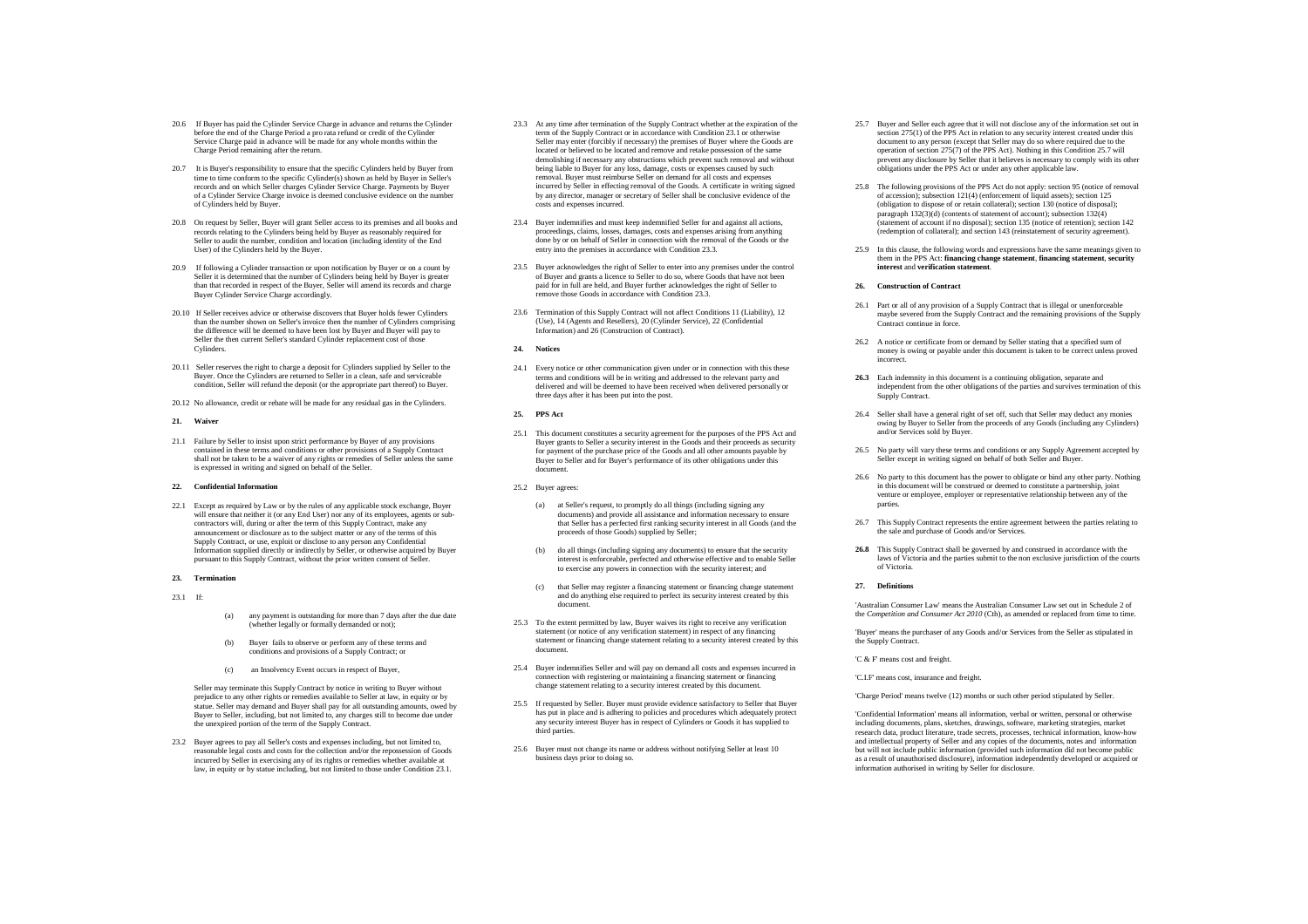- 20.6 If Buyer has paid the Cylinder Service Charge in advance and returns the Cylinder before the end of the Charge Period a pro rata refund or credit of the Cylinder Service Charge paid in advance will be made for any whole months within the Charge Period remaining after the return.
- 20.7 It is Buyer's responsibility to ensure that the specific Cylinders held by Buyer from time to time conform to the specific Cylinder(s) shown as held by Buyer in Seller's records and on which Seller charges Cylinder Service Charge. Payments by Buyer of a Cylinder Service Charge invoice is deemed conclusive evidence on the number of Cylinders held by Buyer.
- 20.8 On request by Seller, Buyer will grant Seller access to its premises and all books and records relating to the Cylinders being held by Buyer as reasonably required for Seller to audit the number, condition and location (including identity of the End User) of the Cylinders held by the Buyer.
- 20.9 If following a Cylinder transaction or upon notification by Buyer or on a count by Seller it is determined that the number of Cylinders being held by Buyer is greater than that recorded in respect of the Buyer, Seller will amend its records and charge Buyer Cylinder Service Charge accordingly.
- 20.10 If Seller receives advice or otherwise discovers that Buyer holds fewer Cylinders than the number shown on Seller's invoice then the number of Cylinders comprising the difference will be deemed to have been lost by Buyer and Buyer will pay to Seller the then current Seller's standard Cylinder replacement cost of those Cylinders.
- 20.11 Seller reserves the right to charge a deposit for Cylinders supplied by Seller to the Buyer. Once the Cylinders are returned to Seller in a clean, safe and serviceable condition, Seller will refund the deposit (or the appropriate part thereof) to Buyer.
- 20.12 No allowance, credit or rebate will be made for any residual gas in the Cylinders.

### **21. Waiver**

21.1 Failure by Seller to insist upon strict performance by Buyer of any provisions contained in these terms and conditions or other provisions of a Supply Contract shall not be taken to be a waiver of any rights or remedies of Seller unless the same is expressed in writing and signed on behalf of the Seller.

#### **22. Confidential Information**

22.1 Except as required by Law or by the rules of any applicable stock exchange, Buyer will ensure that neither it (or any End User) nor any of its employees, agents or subcontractors will, during or after the term of this Supply Contract, make any and an increase as to the subject matter or any of the terms of this Supply Contract, or use, exploit or disclose to any person any Confidential Information supplied directly or indirectly by Seller, or otherwise acquired by Buyer pursuant to this Supply Contract, without the prior written consent of Seller.

# **23. Termination**

- 23.1 If:
- (a) any payment is outstanding for more than 7 days after the due date (whether legally or formally demanded or not);
- (b) Buyer fails to observe or perform any of these terms and conditions and provisions of a Supply Contract; or
- (c) an Insolvency Event occurs in respect of Buyer,

Seller may terminate this Supply Contract by notice in writing to Buyer without prejudice to any other rights or remedies available to Seller at law, in equity or by statue. Seller may demand and Buyer shall pay for all outstanding amounts, owed by Buyer to Seller, including, but not limited to, any charges still to become due under the unexpired portion of the term of the Supply Contract.

23.2 Buyer agrees to pay all Seller's costs and expenses including, but not limited to, reasonable legal costs and costs for the collection and/or the repossession of Goods incurred by Seller in exercising any of its rights or remedies whether available at law, in equity or by statue including, but not limited to those under Condition 23.1.

- 23.3 At any time after termination of the Supply Contract whether at the expiration of the term of the Supply Contract or in accordance with Condition 23.1 or otherwise Seller may enter (forcibly if necessary) the premises of Buyer where the Goods are located or believed to be located and remove and retake possession of the same demolishing if necessary any obstructions which prevent such removal and without being liable to Buyer for any loss, damage, costs or expenses caused by such removal. Buyer must reimburse Seller on demand for all costs and expenses incurred by Seller in effecting removal of the Goods. A certificate in writing signed by any director, manager or secretary of Seller shall be conclusive evidence of the costs and expenses incurred.
- 23.4 Buyer indemnifies and must keep indemnified Seller for and against all actions, proceedings, claims, losses, damages, costs and expenses arising from anything done by or on behalf of Seller in connection with the removal of the Goods or the entry into the premises in accordance with Condition 23.3.
- 23.5 Buyer acknowledges the right of Seller to enter into any premises under the control of Buyer and grants a licence to Seller to do so, where Goods that have not been paid for in full are held, and Buyer further acknowledges the right of Seller to remove those Goods in accordance with Condition 23.3.
- 23.6 Termination of this Supply Contract will not affect Conditions 11 (Liability), 12 (Use), 14 (Agents and Resellers), 20 (Cylinder Service), 22 (Confidential Information) and 26 (Construction of Contract).
- **24. Notices**
- 24.1 Every notice or other communication given under or in connection with this these terms and conditions will be in writing and addressed to the relevant party and delivered and will be deemed to have been received when delivered personally or three days after it has been put into the post.
- **25. PPS Act**
- 25.1 This document constitutes a security agreement for the purposes of the PPS Act and Buyer grants to Seller a security interest in the Goods and their proceeds as security for payment of the purchase price of the Goods and all other amounts payable by Buyer to Seller and for Buyer's performance of its other obligations under this document.
- 25.2 Buyer agrees:
	- (a) at Seller's request, to promptly do all things (including signing any documents) and provide all assistance and information necessary to ensure that Seller has a perfected first ranking security interest in all Goods (and the proceeds of those Goods) supplied by Seller;
	- (b) do all things (including signing any documents) to ensure that the security interest is enforceable, perfected and otherwise effective and to enable Seller to exercise any powers in connection with the security interest; and
	- (c) that Seller may register a financing statement or financing change statement and do anything else required to perfect its security interest created by this document.
- 25.3 To the extent permitted by law, Buyer waives its right to receive any verification statement (or notice of any verification statement) in respect of any financing statement or financing change statement relating to a security interest created by this document.
- 25.4 Buyer indemnifies Seller and will pay on demand all costs and expenses incurred in connection with registering or maintaining a financing statement or financing change statement relating to a security interest created by this document.
- 25.5 If requested by Seller. Buyer must provide evidence satisfactory to Seller that Buyer has put in place and is adhering to policies and procedures which adequately protect any security interest Buyer has in respect of Cylinders or Goods it has supplied to third parties.
- 25.6 Buyer must not change its name or address without notifying Seller at least 10 business days prior to doing so.
- 25.7 Buyer and Seller each agree that it will not disclose any of the information set out in section 275(1) of the PPS Act in relation to any security interest created under this document to any person (except that Seller may do so where required due to the operation of section 275(7) of the PPS Act). Nothing in this Condition 25.7 will prevent any disclosure by Seller that it believes is necessary to comply with its other obligations under the PPS Act or under any other applicable law.
- 25.8 The following provisions of the PPS Act do not apply: section 95 (notice of removal of accession); subsection 121(4) (enforcement of liquid assets); section 125 (obligation to dispose of or retain collateral); section 130 (notice of disposal); paragraph 132(3)(d) (contents of statement of account); subsection 132(4) (statement of account if no disposal); section 135 (notice of retention); section 142 (redemption of collateral); and section 143 (reinstatement of security agreement).
- 25.9 In this clause, the following words and expressions have the same meanings given to them in the PPS Act: **financing change statement**, **financing statement**, **security interest** and **verification statement**.

#### **26. Construction of Contract**

- 26.1 Part or all of any provision of a Supply Contract that is illegal or unenforceable maybe severed from the Supply Contract and the remaining provisions of the Supply Contract continue in force.
- 26.2 A notice or certificate from or demand by Seller stating that a specified sum of money is owing or payable under this document is taken to be correct unless proved incorrect.
- **26.3** Each indemnity in this document is a continuing obligation, separate and independent from the other obligations of the parties and survives termination of this Supply Contract.
- 26.4 Seller shall have a general right of set off, such that Seller may deduct any monies owing by Buyer to Seller from the proceeds of any Goods (including any Cylinders) and/or Services sold by Buyer.
- 26.5 No party will vary these terms and conditions or any Supply Agreement accepted by Seller except in writing signed on behalf of both Seller and Buyer.
- 26.6 No party to this document has the power to obligate or bind any other party. Nothing in this document will be construed or deemed to constitute a partnership, joint venture or employee, employer or representative relationship between any of the parties.
- 26.7 This Supply Contract represents the entire agreement between the parties relating to the sale and purchase of Goods and/or Services.
- **26.8** This Supply Contract shall be governed by and construed in accordance with the laws of Victoria and the parties submit to the non exclusive jurisdiction of the courts of Victoria.

### **27. Definitions**

'Australian Consumer Law' means the Australian Consumer Law set out in Schedule 2 of the *Competition and Consumer Act 2010* (Cth), as amended or replaced from time to time.

'Buyer' means the purchaser of any Goods and/or Services from the Seller as stipulated in the Supply Contract.

'C & F' means cost and freight.

'C.I.F' means cost, insurance and freight.

'Charge Period' means twelve (12) months or such other period stipulated by Seller.

'Confidential Information' means all information, verbal or written, personal or otherwise including documents, plans, sketches, drawings, software, marketing strategies, market research data, product literature, trade secrets, processes, technical information, know-how and intellectual property of Seller and any copies of the documents, notes and information but will not include public information (provided such information did not become public as a result of unauthorised disclosure), information independently developed or acquired or information authorised in writing by Seller for disclosure.